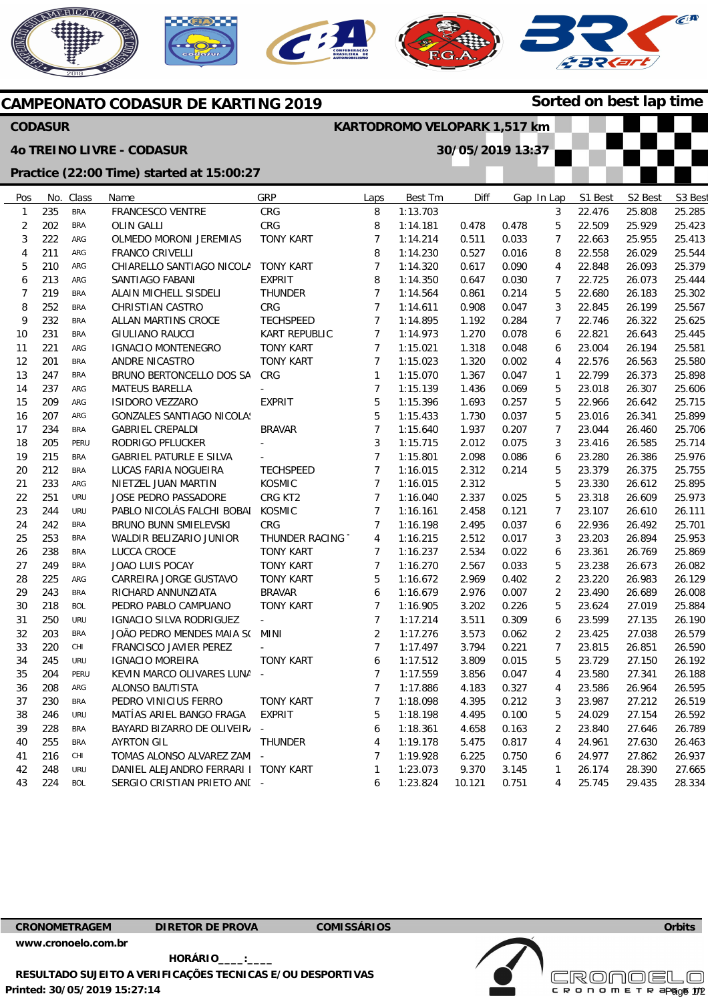



**KARTODROMO VELOPARK 1,517 km** 

**30/05/2019 13:37** 



**Sorted on best lap time**

## **CAMPEONATO CODASUR DE KARTING 2019**

## **CODASUR**

## **4o TREINO LIVRE - CODASUR**

## **Practice (22:00 Time) started at 15:00:27**

| Pos            | No. | Class      | Name                                 | GRP                   | Laps            | Best Tm  | Diff   |       | Gap In Lap     | S1 Best | S <sub>2</sub> Best | S3 Best |
|----------------|-----|------------|--------------------------------------|-----------------------|-----------------|----------|--------|-------|----------------|---------|---------------------|---------|
| $\mathbf{1}$   | 235 | <b>BRA</b> | FRANCESCO VENTRE                     | CRG                   | 8               | 1:13.703 |        |       | 3              | 22.476  | 25.808              | 25.285  |
| $\overline{2}$ | 202 | <b>BRA</b> | <b>OLIN GALLI</b>                    | CRG                   | 8               | 1:14.181 | 0.478  | 0.478 | 5              | 22.509  | 25.929              | 25.423  |
| $\sqrt{3}$     | 222 | ARG        | OLMEDO MORONI JEREMIAS               | <b>TONY KART</b>      | $\overline{7}$  | 1:14.214 | 0.511  | 0.033 | $\overline{7}$ | 22.663  | 25.955              | 25.413  |
| $\overline{4}$ | 211 | ARG        | <b>FRANCO CRIVELLI</b>               |                       | 8               | 1:14.230 | 0.527  | 0.016 | 8              | 22.558  | 26.029              | 25.544  |
| 5              | 210 | ARG        | CHIARELLO SANTIAGO NICOLA            | TONY KART             | $\overline{7}$  | 1:14.320 | 0.617  | 0.090 | 4              | 22.848  | 26.093              | 25.379  |
| 6              | 213 | ARG        | SANTIAGO FABANI                      | <b>EXPRIT</b>         | 8               | 1:14.350 | 0.647  | 0.030 | $\overline{7}$ | 22.725  | 26.073              | 25.444  |
| 7              | 219 | <b>BRA</b> | ALAIN MICHELL SISDELI                | <b>THUNDER</b>        | $\overline{7}$  | 1:14.564 | 0.861  | 0.214 | 5              | 22.680  | 26.183              | 25.302  |
| 8              | 252 | <b>BRA</b> | <b>CHRISTIAN CASTRO</b>              | <b>CRG</b>            | $\overline{7}$  | 1:14.611 | 0.908  | 0.047 | 3              | 22.845  | 26.199              | 25.567  |
| 9              | 232 | <b>BRA</b> | ALLAN MARTINS CROCE                  | <b>TECHSPEED</b>      | $\overline{7}$  | 1:14.895 | 1.192  | 0.284 | $\overline{7}$ | 22.746  | 26.322              | 25.625  |
| 10             | 231 | <b>BRA</b> | <b>GIULIANO RAUCCI</b>               | KART REPUBLIC         | $\overline{7}$  | 1:14.973 | 1.270  | 0.078 | 6              | 22.821  | 26.643              | 25.445  |
| 11             | 221 | ARG        | <b>IGNACIO MONTENEGRO</b>            | <b>TONY KART</b>      | $\overline{7}$  | 1:15.021 | 1.318  | 0.048 | 6              | 23.004  | 26.194              | 25.581  |
| 12             | 201 | <b>BRA</b> | ANDRE NICASTRO                       | <b>TONY KART</b>      | $\overline{7}$  | 1:15.023 | 1.320  | 0.002 | $\overline{4}$ | 22.576  | 26.563              | 25.580  |
| 13             | 247 | <b>BRA</b> | BRUNO BERTONCELLO DOS SA             | CRG                   | $\mathbf{1}$    | 1:15.070 | 1.367  | 0.047 | 1              | 22.799  | 26.373              | 25.898  |
| 14             | 237 | ARG        | <b>MATEUS BARELLA</b>                |                       | $\overline{7}$  | 1:15.139 | 1.436  | 0.069 | 5              | 23.018  | 26.307              | 25.606  |
| 15             | 209 | ARG        | ISIDORO VEZZARO                      | <b>EXPRIT</b>         | 5               | 1:15.396 | 1.693  | 0.257 | 5              | 22.966  | 26.642              | 25.715  |
| 16             | 207 | ARG        | <b>GONZALES SANTIAGO NICOLA!</b>     |                       | 5               | 1:15.433 | 1.730  | 0.037 | 5              | 23.016  | 26.341              | 25.899  |
| 17             | 234 | <b>BRA</b> | <b>GABRIEL CREPALDI</b>              | <b>BRAVAR</b>         | $7\overline{ }$ | 1:15.640 | 1.937  | 0.207 | $\overline{7}$ | 23.044  | 26.460              | 25.706  |
| 18             | 205 | PERU       | RODRIGO PFLUCKER                     |                       | 3               | 1:15.715 | 2.012  | 0.075 | 3              | 23.416  | 26.585              | 25.714  |
| 19             | 215 | <b>BRA</b> | <b>GABRIEL PATURLE E SILVA</b>       |                       | $\overline{7}$  | 1:15.801 | 2.098  | 0.086 | 6              | 23.280  | 26.386              | 25.976  |
| 20             | 212 | <b>BRA</b> | LUCAS FARIA NOGUEIRA                 | <b>TECHSPEED</b>      | $\overline{7}$  | 1:16.015 | 2.312  | 0.214 | 5              | 23.379  | 26.375              | 25.755  |
| 21             | 233 | ARG        | NIETZEL JUAN MARTIN                  | KOSMIC                | $\overline{7}$  | 1:16.015 | 2.312  |       | 5              | 23.330  | 26.612              | 25.895  |
| 22             | 251 | <b>URU</b> | <b>JOSE PEDRO PASSADORE</b>          | CRG KT2               | $7\overline{ }$ | 1:16.040 | 2.337  | 0.025 | 5              | 23.318  | 26.609              | 25.973  |
| 23             | 244 | <b>URU</b> | PABLO NICOLÁS FALCHI BOBAI           | <b>KOSMIC</b>         | $7\overline{ }$ | 1:16.161 | 2.458  | 0.121 | $\overline{7}$ | 23.107  | 26.610              | 26.111  |
| 24             | 242 | <b>BRA</b> | BRUNO BUNN SMIELEVSKI                | CRG                   | $\overline{7}$  | 1:16.198 | 2.495  | 0.037 | 6              | 22.936  | 26.492              | 25.701  |
| 25             | 253 | <b>BRA</b> | WALDIR BELIZARIO JUNIOR              | <b>THUNDER RACING</b> | 4               | 1:16.215 | 2.512  | 0.017 | 3              | 23.203  | 26.894              | 25.953  |
| 26             | 238 | <b>BRA</b> | LUCCA CROCE                          | <b>TONY KART</b>      | $\overline{7}$  | 1:16.237 | 2.534  | 0.022 | 6              | 23.361  | 26.769              | 25.869  |
| 27             | 249 | <b>BRA</b> | <b>JOAO LUIS POCAY</b>               | <b>TONY KART</b>      | $\overline{7}$  | 1:16.270 | 2.567  | 0.033 | 5              | 23.238  | 26.673              | 26.082  |
| 28             | 225 | ARG        | CARREIRA JORGE GUSTAVO               | <b>TONY KART</b>      | 5               | 1:16.672 | 2.969  | 0.402 | $\overline{2}$ | 23.220  | 26.983              | 26.129  |
| 29             | 243 | <b>BRA</b> | RICHARD ANNUNZIATA                   | <b>BRAVAR</b>         | 6               | 1:16.679 | 2.976  | 0.007 | $\overline{2}$ | 23.490  | 26.689              | 26.008  |
| 30             | 218 | <b>BOL</b> | PEDRO PABLO CAMPUANO                 | <b>TONY KART</b>      | $\overline{7}$  | 1:16.905 | 3.202  | 0.226 | 5              | 23.624  | 27.019              | 25.884  |
| 31             | 250 | <b>URU</b> | IGNACIO SILVA RODRIGUEZ              | $\mathbb{L}^+$        | $\overline{7}$  | 1:17.214 | 3.511  | 0.309 | 6              | 23.599  | 27.135              | 26.190  |
| 32             | 203 | <b>BRA</b> | JOÃO PEDRO MENDES MAIA S( MINI       |                       | $\overline{2}$  | 1:17.276 | 3.573  | 0.062 | $\overline{2}$ | 23.425  | 27.038              | 26.579  |
| 33             | 220 | CHI        | FRANCISCO JAVIER PEREZ               |                       | $\overline{7}$  | 1:17.497 | 3.794  | 0.221 | 7              | 23.815  | 26.851              | 26.590  |
| 34             | 245 | <b>URU</b> | <b>IGNACIO MOREIRA</b>               | <b>TONY KART</b>      | 6               | 1:17.512 | 3.809  | 0.015 | 5              | 23.729  | 27.150              | 26.192  |
| 35             | 204 | PERU       | KEVIN MARCO OLIVARES LUNA -          |                       | $7\overline{ }$ | 1:17.559 | 3.856  | 0.047 | $\overline{4}$ | 23.580  | 27.341              | 26.188  |
| 36             | 208 | ARG        | <b>ALONSO BAUTISTA</b>               |                       | $\overline{7}$  | 1:17.886 | 4.183  | 0.327 | 4              | 23.586  | 26.964              | 26.595  |
| 37             | 230 | <b>BRA</b> | PEDRO VINICIUS FERRO                 | <b>TONY KART</b>      | $7\overline{ }$ | 1:18.098 | 4.395  | 0.212 | 3              | 23.987  | 27.212              | 26.519  |
| 38             | 246 | <b>URU</b> | MATÍAS ARIEL BANGO FRAGA             | <b>EXPRIT</b>         | 5               | 1:18.198 | 4.495  | 0.100 | 5              | 24.029  | 27.154              | 26.592  |
| 39             | 228 | <b>BRA</b> | BAYARD BIZARRO DE OLIVEIR/           |                       | 6               | 1:18.361 | 4.658  | 0.163 | $\overline{2}$ | 23.840  | 27.646              | 26.789  |
| 40             | 255 | <b>BRA</b> | <b>AYRTON GIL</b>                    | <b>THUNDER</b>        | 4               | 1:19.178 | 5.475  | 0.817 | 4              | 24.961  | 27.630              | 26.463  |
| 41             | 216 | CHI        | TOMAS ALONSO ALVAREZ ZAM             | $\sim$                | $\overline{7}$  | 1:19.928 | 6.225  | 0.750 | 6              | 24.977  | 27.862              | 26.937  |
| 42             | 248 | <b>URU</b> | DANIEL ALEJANDRO FERRARI I TONY KART |                       | $\mathbf{1}$    | 1:23.073 | 9.370  | 3.145 | 1              | 26.174  | 28.390              | 27.665  |
| 43             | 224 | <b>BOL</b> | SERGIO CRISTIAN PRIETO AND -         |                       | 6               | 1:23.824 | 10.121 | 0.751 | $\overline{4}$ | 25.745  | 29.435              | 28.334  |

**CRONOMETRAGEM DIRETOR DE PROVA COMISSÁRIOS** 

**[www.cronoelo.com.br](http://www.cronoelo.com.br)** 

**Printed: 30/05/2019 15:27:14 HORÁRIO\_\_\_\_:\_\_\_\_ RESULTADO SUJEITO A VERIFICAÇÕES TECNICAS E/OU DESPORTIVAS**  **Orbits** 

**Licensed to: Cronoelo**  c R O N O M E T R apg<sub>g</sub>e 172